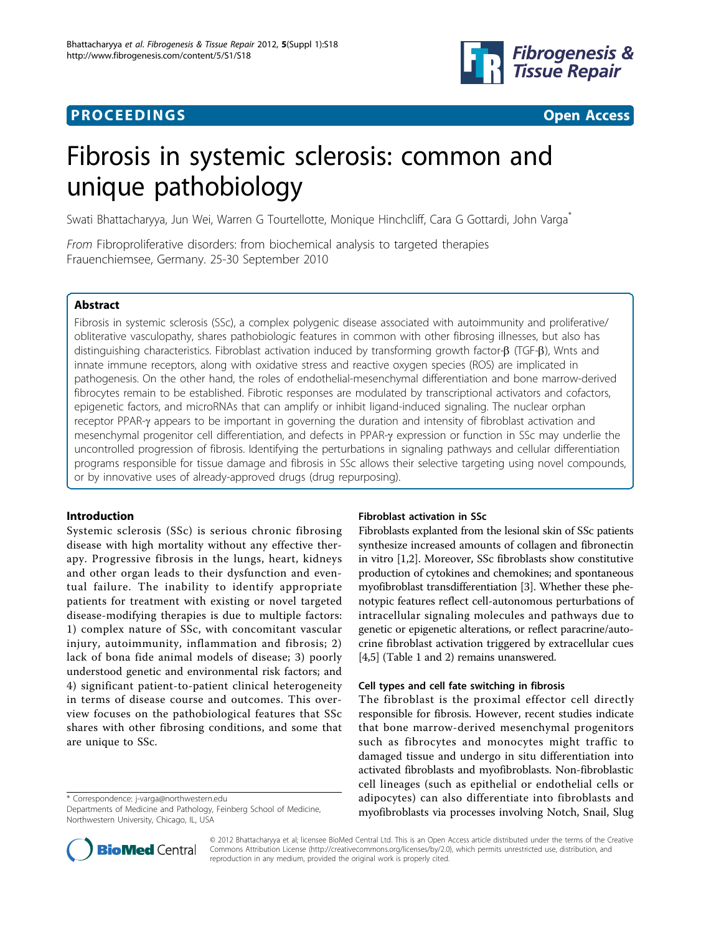# **PROCEEDINGS STATE AND SERVICE SERVICE SERVICE SERVICE SERVICE SERVICE SERVICE SERVICE SERVICE SERVICE SERVICE SERVICE SERVICE SERVICE SERVICE SERVICE SERVICE SERVICE SERVICE SERVICE SERVICE SERVICE SERVICE SERVICE SERVI**



# Fibrosis in systemic sclerosis: common and unique pathobiology

Swati Bhattacharyya, Jun Wei, Warren G Tourtellotte, Monique Hinchcliff, Cara G Gottardi, John Varga<sup>\*</sup>

From Fibroproliferative disorders: from biochemical analysis to targeted therapies Frauenchiemsee, Germany. 25-30 September 2010

### Abstract

Fibrosis in systemic sclerosis (SSc), a complex polygenic disease associated with autoimmunity and proliferative/ obliterative vasculopathy, shares pathobiologic features in common with other fibrosing illnesses, but also has distinguishing characteristics. Fibroblast activation induced by transforming growth factor- $\beta$  (TGF- $\beta$ ), Wnts and innate immune receptors, along with oxidative stress and reactive oxygen species (ROS) are implicated in pathogenesis. On the other hand, the roles of endothelial-mesenchymal differentiation and bone marrow-derived fibrocytes remain to be established. Fibrotic responses are modulated by transcriptional activators and cofactors, epigenetic factors, and microRNAs that can amplify or inhibit ligand-induced signaling. The nuclear orphan receptor PPAR-y appears to be important in governing the duration and intensity of fibroblast activation and mesenchymal progenitor cell differentiation, and defects in PPAR-y expression or function in SSc may underlie the uncontrolled progression of fibrosis. Identifying the perturbations in signaling pathways and cellular differentiation programs responsible for tissue damage and fibrosis in SSc allows their selective targeting using novel compounds, or by innovative uses of already-approved drugs (drug repurposing).

### Introduction

Systemic sclerosis (SSc) is serious chronic fibrosing disease with high mortality without any effective therapy. Progressive fibrosis in the lungs, heart, kidneys and other organ leads to their dysfunction and eventual failure. The inability to identify appropriate patients for treatment with existing or novel targeted disease-modifying therapies is due to multiple factors: 1) complex nature of SSc, with concomitant vascular injury, autoimmunity, inflammation and fibrosis; 2) lack of bona fide animal models of disease; 3) poorly understood genetic and environmental risk factors; and 4) significant patient-to-patient clinical heterogeneity in terms of disease course and outcomes. This overview focuses on the pathobiological features that SSc shares with other fibrosing conditions, and some that are unique to SSc.

\* Correspondence: [j-varga@northwestern.edu](mailto:j-varga@northwestern.edu)

### Fibroblast activation in SSc

Fibroblasts explanted from the lesional skin of SSc patients synthesize increased amounts of collagen and fibronectin in vitro [\[1](#page-3-0),[2](#page-3-0)]. Moreover, SSc fibroblasts show constitutive production of cytokines and chemokines; and spontaneous myofibroblast transdifferentiation [\[3](#page-4-0)]. Whether these phenotypic features reflect cell-autonomous perturbations of intracellular signaling molecules and pathways due to genetic or epigenetic alterations, or reflect paracrine/autocrine fibroblast activation triggered by extracellular cues [[4,5](#page-4-0)] (Table [1](#page-1-0) and [2](#page-1-0)) remains unanswered.

### Cell types and cell fate switching in fibrosis

The fibroblast is the proximal effector cell directly responsible for fibrosis. However, recent studies indicate that bone marrow-derived mesenchymal progenitors such as fibrocytes and monocytes might traffic to damaged tissue and undergo in situ differentiation into activated fibroblasts and myofibroblasts. Non-fibroblastic cell lineages (such as epithelial or endothelial cells or adipocytes) can also differentiate into fibroblasts and myofibroblasts via processes involving Notch, Snail, Slug



© 2012 Bhattacharyya et al; licensee BioMed Central Ltd. This is an Open Access article distributed under the terms of the Creative Commons Attribution License [\(http://creativecommons.org/licenses/by/2.0](http://creativecommons.org/licenses/by/2.0)), which permits unrestricted use, distribution, and reproduction in any medium, provided the original work is properly cited.

Departments of Medicine and Pathology, Feinberg School of Medicine, Northwestern University, Chicago, IL, USA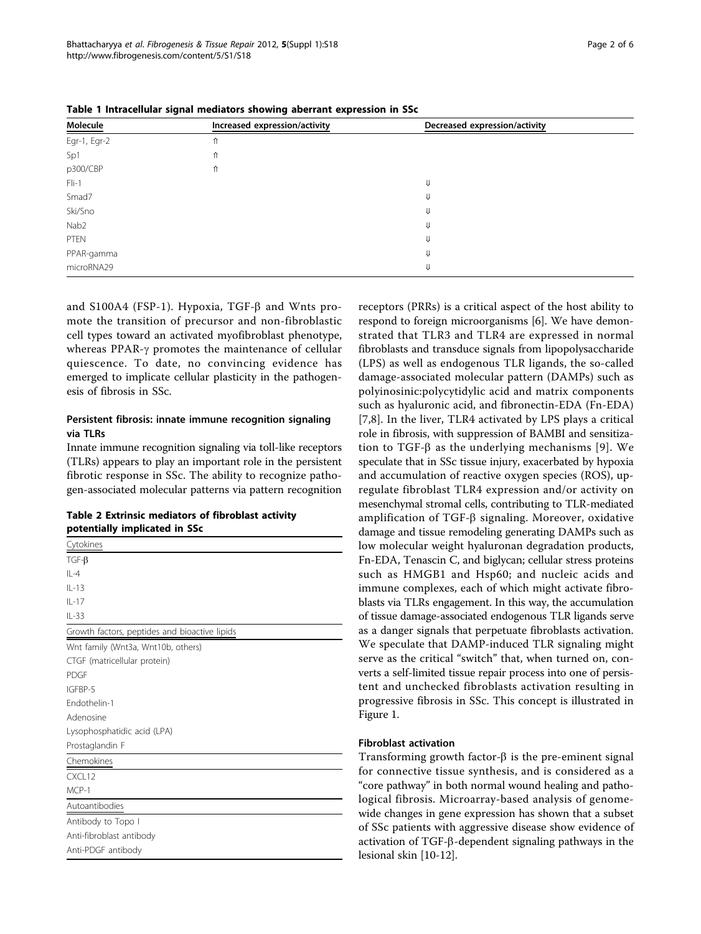and S100A4 (FSP-1). Hypoxia, TGF- $\beta$  and Wnts promote the transition of precursor and non-fibroblastic cell types toward an activated myofibroblast phenotype, whereas PPAR- $\gamma$  promotes the maintenance of cellular quiescence. To date, no convincing evidence has emerged to implicate cellular plasticity in the pathogen-

#### Persistent fibrosis: innate immune recognition signaling via TLRs

esis of fibrosis in SSc.

Egr-1, Egr-2  $\uparrow$ Sp1 ⇑ p300/CBP ሰ

http://www.fibrogenesis.com/content/5/S1/S18

Innate immune recognition signaling via toll-like receptors (TLRs) appears to play an important role in the persistent fibrotic response in SSc. The ability to recognize pathogen-associated molecular patterns via pattern recognition

# Table 2 Extrinsic mediators of fibroblast activity potentially implicated in SSc

| Cytokines                                     |
|-----------------------------------------------|
| $TGF-B$                                       |
| $   -4$                                       |
| $II - 13$                                     |
| $IL-17$                                       |
| $IL-33$                                       |
| Growth factors, peptides and bioactive lipids |
| Wnt family (Wnt3a, Wnt10b, others)            |
| CTGF (matricellular protein)                  |
| <b>PDGF</b>                                   |
| IGFBP-5                                       |
| Fndothelin-1                                  |
| Adenosine                                     |
| Lysophosphatidic acid (LPA)                   |
| Prostaglandin F                               |
| Chemokines                                    |
| CXCL12                                        |
| MCP-1                                         |
| Autoantibodies                                |
| Antibody to Topo I                            |
| Anti-fibroblast antibody                      |
| Anti-PDGF antibody                            |
|                                               |

receptors (PRRs) is a critical aspect of the host ability to respond to foreign microorganisms [[6\]](#page-4-0). We have demonstrated that TLR3 and TLR4 are expressed in normal fibroblasts and transduce signals from lipopolysaccharide (LPS) as well as endogenous TLR ligands, the so-called damage-associated molecular pattern (DAMPs) such as polyinosinic:polycytidylic acid and matrix components such as hyaluronic acid, and fibronectin-EDA (Fn-EDA) [[7,8](#page-4-0)]. In the liver, TLR4 activated by LPS plays a critical role in fibrosis, with suppression of BAMBI and sensitization to TGF- $\beta$  as the underlying mechanisms [[9\]](#page-4-0). We speculate that in SSc tissue injury, exacerbated by hypoxia and accumulation of reactive oxygen species (ROS), upregulate fibroblast TLR4 expression and/or activity on mesenchymal stromal cells, contributing to TLR-mediated amplification of TGF- $\beta$  signaling. Moreover, oxidative damage and tissue remodeling generating DAMPs such as low molecular weight hyaluronan degradation products, Fn-EDA, Tenascin C, and biglycan; cellular stress proteins such as HMGB1 and Hsp60; and nucleic acids and immune complexes, each of which might activate fibroblasts via TLRs engagement. In this way, the accumulation of tissue damage-associated endogenous TLR ligands serve as a danger signals that perpetuate fibroblasts activation. We speculate that DAMP-induced TLR signaling might serve as the critical "switch" that, when turned on, converts a self-limited tissue repair process into one of persistent and unchecked fibroblasts activation resulting in progressive fibrosis in SSc. This concept is illustrated in Figure [1](#page-2-0).

#### Fibroblast activation

Transforming growth factor- $\beta$  is the pre-eminent signal for connective tissue synthesis, and is considered as a "core pathway" in both normal wound healing and pathological fibrosis. Microarray-based analysis of genomewide changes in gene expression has shown that a subset of SSc patients with aggressive disease show evidence of activation of TGF-b-dependent signaling pathways in the lesional skin [[10](#page-4-0)-[12\]](#page-4-0).

Table 1 Intracellular signal mediators showing aberrant expression in SSc

<span id="page-1-0"></span>Bhattacharyya et al. Fibrogenesis & Tissue Repair 2012, <sup>5</sup>(Suppl 1):S18

 $F1i-1$   $\psi$ Smad7  $\qquad \qquad \downarrow$ Ski/Sno ⇓  $Nab2$ PTEN ⇓ PPAR-gamma <del>∪</del> microRNA29 ⇓

| Table 1 Intracellular signal mediators showing aberrant expression in SSc |  |
|---------------------------------------------------------------------------|--|

Molecule **Increased expression/activity** Decreased expression/activity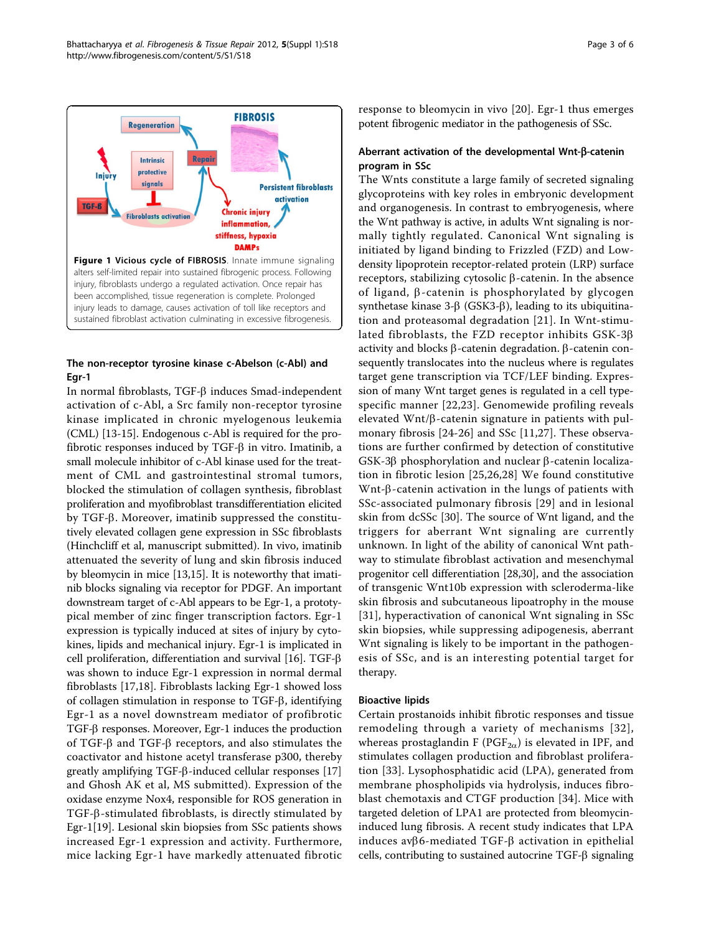<span id="page-2-0"></span>

# The non-receptor tyrosine kinase c-Abelson (c-Abl) and Egr-1

In normal fibroblasts,  $TGF- $\beta$  induces Smad-independent$ activation of c-Abl, a Src family non-receptor tyrosine kinase implicated in chronic myelogenous leukemia (CML) [[13-15\]](#page-4-0). Endogenous c-Abl is required for the profibrotic responses induced by TGF- $\beta$  in vitro. Imatinib, a small molecule inhibitor of c-Abl kinase used for the treatment of CML and gastrointestinal stromal tumors, blocked the stimulation of collagen synthesis, fibroblast proliferation and myofibroblast transdifferentiation elicited by TGF-b. Moreover, imatinib suppressed the constitutively elevated collagen gene expression in SSc fibroblasts (Hinchcliff et al, manuscript submitted). In vivo, imatinib attenuated the severity of lung and skin fibrosis induced by bleomycin in mice [[13,15\]](#page-4-0). It is noteworthy that imatinib blocks signaling via receptor for PDGF. An important downstream target of c-Abl appears to be Egr-1, a prototypical member of zinc finger transcription factors. Egr-1 expression is typically induced at sites of injury by cytokines, lipids and mechanical injury. Egr-1 is implicated in cell proliferation, differentiation and survival  $[16]$  $[16]$ . TGF- $\beta$ was shown to induce Egr-1 expression in normal dermal fibroblasts [[17](#page-4-0),[18\]](#page-4-0). Fibroblasts lacking Egr-1 showed loss of collagen stimulation in response to TGF-b, identifying Egr-1 as a novel downstream mediator of profibrotic TGF-b responses. Moreover, Egr-1 induces the production of TGF- $\beta$  and TGF- $\beta$  receptors, and also stimulates the coactivator and histone acetyl transferase p300, thereby greatly amplifying TGF-b-induced cellular responses [[17](#page-4-0)] and Ghosh AK et al, MS submitted). Expression of the oxidase enzyme Nox4, responsible for ROS generation in TGF-b-stimulated fibroblasts, is directly stimulated by Egr-1[\[19\]](#page-4-0). Lesional skin biopsies from SSc patients shows increased Egr-1 expression and activity. Furthermore, mice lacking Egr-1 have markedly attenuated fibrotic response to bleomycin in vivo [[20](#page-4-0)]. Egr-1 thus emerges potent fibrogenic mediator in the pathogenesis of SSc.

#### Aberrant activation of the developmental Wnt-β-catenin program in SSc

The Wnts constitute a large family of secreted signaling glycoproteins with key roles in embryonic development and organogenesis. In contrast to embryogenesis, where the Wnt pathway is active, in adults Wnt signaling is normally tightly regulated. Canonical Wnt signaling is initiated by ligand binding to Frizzled (FZD) and Lowdensity lipoprotein receptor-related protein (LRP) surface receptors, stabilizing cytosolic  $\beta$ -catenin. In the absence of ligand,  $\beta$ -catenin is phosphorylated by glycogen synthetase kinase  $3-\beta$  (GSK3- $\beta$ ), leading to its ubiquitination and proteasomal degradation [[21\]](#page-4-0). In Wnt-stimulated fibroblasts, the FZD receptor inhibits GSK-3b activity and blocks  $\beta$ -catenin degradation.  $\beta$ -catenin consequently translocates into the nucleus where is regulates target gene transcription via TCF/LEF binding. Expression of many Wnt target genes is regulated in a cell typespecific manner [[22](#page-4-0),[23\]](#page-4-0). Genomewide profiling reveals elevated  $Wnt/\beta$ -catenin signature in patients with pulmonary fibrosis [[24-26\]](#page-4-0) and SSc [[11,27](#page-4-0)]. These observations are further confirmed by detection of constitutive  $GSK-3\beta$  phosphorylation and nuclear  $\beta$ -catenin localization in fibrotic lesion [[25,26](#page-4-0),[28\]](#page-4-0) We found constitutive Wnt- $\beta$ -catenin activation in the lungs of patients with SSc-associated pulmonary fibrosis [[29\]](#page-4-0) and in lesional skin from dcSSc [[30\]](#page-4-0). The source of Wnt ligand, and the triggers for aberrant Wnt signaling are currently unknown. In light of the ability of canonical Wnt pathway to stimulate fibroblast activation and mesenchymal progenitor cell differentiation [[28,30](#page-4-0)], and the association of transgenic Wnt10b expression with scleroderma-like skin fibrosis and subcutaneous lipoatrophy in the mouse [[31](#page-4-0)], hyperactivation of canonical Wnt signaling in SSc skin biopsies, while suppressing adipogenesis, aberrant Wnt signaling is likely to be important in the pathogenesis of SSc, and is an interesting potential target for therapy.

### Bioactive lipids

Certain prostanoids inhibit fibrotic responses and tissue remodeling through a variety of mechanisms [[32\]](#page-4-0), whereas prostaglandin F (PGF<sub>2a</sub>) is elevated in IPF, and stimulates collagen production and fibroblast proliferation [[33](#page-4-0)]. Lysophosphatidic acid (LPA), generated from membrane phospholipids via hydrolysis, induces fibroblast chemotaxis and CTGF production [[34\]](#page-4-0). Mice with targeted deletion of LPA1 are protected from bleomycininduced lung fibrosis. A recent study indicates that LPA induces av $\beta$ 6-mediated TGF- $\beta$  activation in epithelial cells, contributing to sustained autocrine  $TGF- $\beta$  signaling$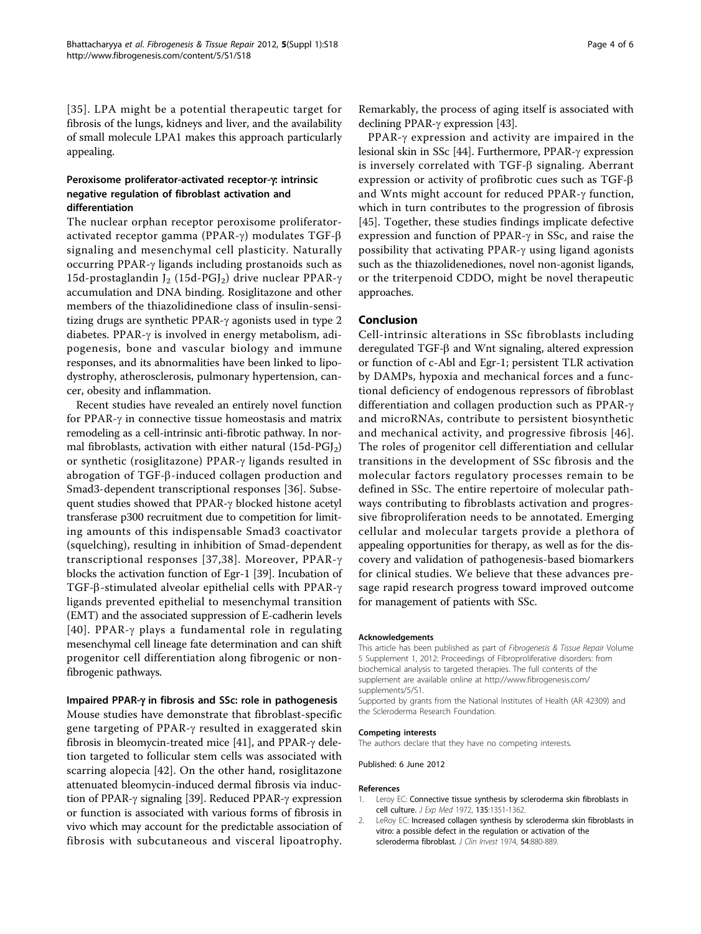<span id="page-3-0"></span>[[35\]](#page-4-0). LPA might be a potential therapeutic target for fibrosis of the lungs, kidneys and liver, and the availability of small molecule LPA1 makes this approach particularly appealing.

# Peroxisome proliferator-activated receptor- $\gamma$ : intrinsic negative regulation of fibroblast activation and differentiation

The nuclear orphan receptor peroxisome proliferatoractivated receptor gamma (PPAR- $\gamma$ ) modulates TGF- $\beta$ signaling and mesenchymal cell plasticity. Naturally occurring PPAR- $\gamma$  ligands including prostanoids such as 15d-prostaglandin J<sub>2</sub> (15d-PGJ<sub>2</sub>) drive nuclear PPAR- $\gamma$ accumulation and DNA binding. Rosiglitazone and other members of the thiazolidinedione class of insulin-sensitizing drugs are synthetic PPAR-g agonists used in type 2 diabetes. PPAR- $\gamma$  is involved in energy metabolism, adipogenesis, bone and vascular biology and immune responses, and its abnormalities have been linked to lipodystrophy, atherosclerosis, pulmonary hypertension, cancer, obesity and inflammation.

Recent studies have revealed an entirely novel function for PPAR- $\gamma$  in connective tissue homeostasis and matrix remodeling as a cell-intrinsic anti-fibrotic pathway. In normal fibroblasts, activation with either natural  $(15d-PGJ<sub>2</sub>)$ or synthetic (rosiglitazone) PPAR-g ligands resulted in abrogation of TGF-b-induced collagen production and Smad3-dependent transcriptional responses [[36\]](#page-4-0). Subsequent studies showed that  $PPAR-\gamma$  blocked histone acetyl transferase p300 recruitment due to competition for limiting amounts of this indispensable Smad3 coactivator (squelching), resulting in inhibition of Smad-dependent transcriptional responses [[37,38\]](#page-4-0). Moreover, PPAR-g blocks the activation function of Egr-1 [\[39](#page-4-0)]. Incubation of TGF- $\beta$ -stimulated alveolar epithelial cells with PPAR- $\gamma$ ligands prevented epithelial to mesenchymal transition (EMT) and the associated suppression of E-cadherin levels [[40\]](#page-4-0). PPAR- $\gamma$  plays a fundamental role in regulating mesenchymal cell lineage fate determination and can shift progenitor cell differentiation along fibrogenic or nonfibrogenic pathways.

#### Impaired PPAR-g in fibrosis and SSc: role in pathogenesis

Mouse studies have demonstrate that fibroblast-specific gene targeting of PPAR- $\gamma$  resulted in exaggerated skin fibrosis in bleomycin-treated mice [[41\]](#page-4-0), and PPAR- $\gamma$  deletion targeted to follicular stem cells was associated with scarring alopecia [[42](#page-4-0)]. On the other hand, rosiglitazone attenuated bleomycin-induced dermal fibrosis via induc-tion of PPAR-γ signaling [\[39\]](#page-4-0). Reduced PPAR-γ expression or function is associated with various forms of fibrosis in vivo which may account for the predictable association of fibrosis with subcutaneous and visceral lipoatrophy.

PPAR- $\gamma$  expression and activity are impaired in the lesional skin in SSc [[44\]](#page-4-0). Furthermore, PPAR-γ expression is inversely correlated with TGF- $\beta$  signaling. Aberrant expression or activity of profibrotic cues such as TGF-b and Wnts might account for reduced PPAR- $\gamma$  function, which in turn contributes to the progression of fibrosis [[45\]](#page-5-0). Together, these studies findings implicate defective expression and function of PPAR-g in SSc, and raise the possibility that activating PPAR- $\gamma$  using ligand agonists such as the thiazolidenediones, novel non-agonist ligands, or the triterpenoid CDDO, might be novel therapeutic approaches.

#### Conclusion

Cell-intrinsic alterations in SSc fibroblasts including deregulated TGF-β and Wnt signaling, altered expression or function of c-Abl and Egr-1; persistent TLR activation by DAMPs, hypoxia and mechanical forces and a functional deficiency of endogenous repressors of fibroblast differentiation and collagen production such as PPAR-g and microRNAs, contribute to persistent biosynthetic and mechanical activity, and progressive fibrosis [[46\]](#page-5-0). The roles of progenitor cell differentiation and cellular transitions in the development of SSc fibrosis and the molecular factors regulatory processes remain to be defined in SSc. The entire repertoire of molecular pathways contributing to fibroblasts activation and progressive fibroproliferation needs to be annotated. Emerging cellular and molecular targets provide a plethora of appealing opportunities for therapy, as well as for the discovery and validation of pathogenesis-based biomarkers for clinical studies. We believe that these advances presage rapid research progress toward improved outcome for management of patients with SSc.

#### Acknowledgements

This article has been published as part of Fibrogenesis & Tissue Repair Volume 5 Supplement 1, 2012: Proceedings of Fibroproliferative disorders: from biochemical analysis to targeted therapies. The full contents of the supplement are available online at [http://www.fibrogenesis.com/](http://www.fibrogenesis.com/supplements/5/S1) [supplements/5/S1.](http://www.fibrogenesis.com/supplements/5/S1)

Supported by grants from the National Institutes of Health (AR 42309) and the Scleroderma Research Foundation.

#### Competing interests

The authors declare that they have no competing interests.

Published: 6 June 2012

#### References

- 1. Leroy EC: [Connective tissue synthesis by scleroderma skin fibroblasts in](http://www.ncbi.nlm.nih.gov/pubmed/4260235?dopt=Abstract) [cell culture.](http://www.ncbi.nlm.nih.gov/pubmed/4260235?dopt=Abstract) J Exp Med 1972, 135:1351-1362.
- 2. LeRoy EC: [Increased collagen synthesis by scleroderma skin fibroblasts in](http://www.ncbi.nlm.nih.gov/pubmed/4430718?dopt=Abstract) [vitro: a possible defect in the regulation or activation of the](http://www.ncbi.nlm.nih.gov/pubmed/4430718?dopt=Abstract) [scleroderma fibroblast.](http://www.ncbi.nlm.nih.gov/pubmed/4430718?dopt=Abstract) J Clin Invest 1974, 54:880-889.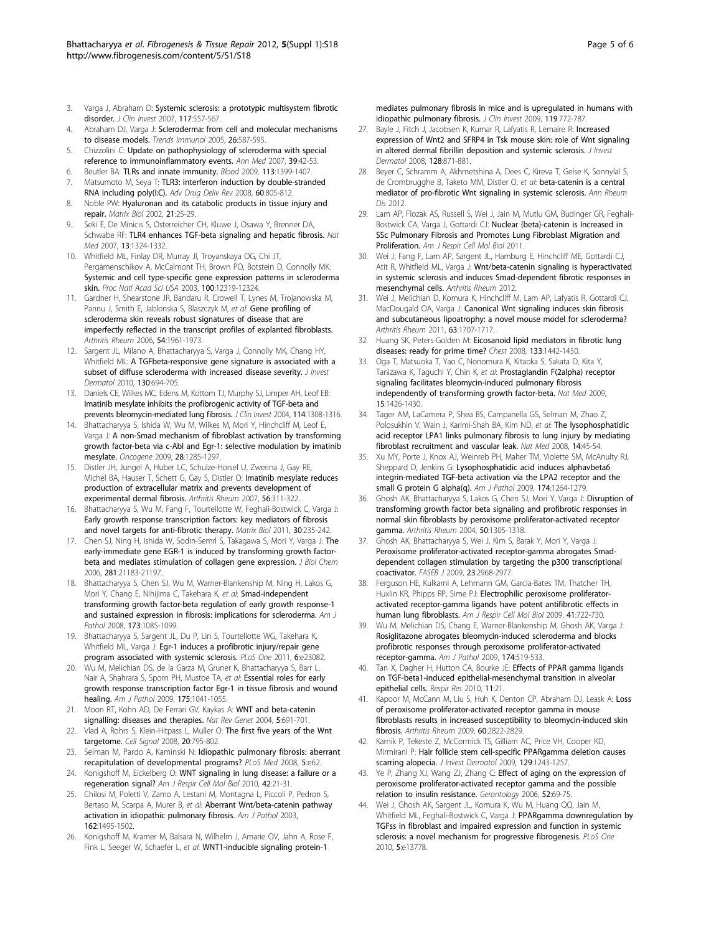- <span id="page-4-0"></span>3. Varga J, Abraham D: [Systemic sclerosis: a prototypic multisystem fibrotic](http://www.ncbi.nlm.nih.gov/pubmed/17332883?dopt=Abstract) [disorder.](http://www.ncbi.nlm.nih.gov/pubmed/17332883?dopt=Abstract) J Clin Invest 2007, 117:557-567.
- 4. Abraham DJ, Varga J: [Scleroderma: from cell and molecular mechanisms](http://www.ncbi.nlm.nih.gov/pubmed/16168711?dopt=Abstract) [to disease models.](http://www.ncbi.nlm.nih.gov/pubmed/16168711?dopt=Abstract) Trends Immunol 2005, 26:587-595.
- 5. Chizzolini C: [Update on pathophysiology of scleroderma with special](http://www.ncbi.nlm.nih.gov/pubmed/17364450?dopt=Abstract) [reference to immunoinflammatory events.](http://www.ncbi.nlm.nih.gov/pubmed/17364450?dopt=Abstract) Ann Med 2007, 39:42-53.
- 6. Beutler BA: [TLRs and innate immunity.](http://www.ncbi.nlm.nih.gov/pubmed/18757776?dopt=Abstract) Blood 2009, 113:1399-1407.
- 7. Matsumoto M, Seya T: [TLR3: interferon induction by double-stranded](http://www.ncbi.nlm.nih.gov/pubmed/18262679?dopt=Abstract) [RNA including poly\(I:C\).](http://www.ncbi.nlm.nih.gov/pubmed/18262679?dopt=Abstract) Adv Drug Deliv Rev 2008, 60:805-812.
- 8. Noble PW: [Hyaluronan and its catabolic products in tissue injury and](http://www.ncbi.nlm.nih.gov/pubmed/11827789?dopt=Abstract) [repair.](http://www.ncbi.nlm.nih.gov/pubmed/11827789?dopt=Abstract) Matrix Biol 2002, 21:25-29.
- 9. Seki E, De Minicis S, Osterreicher CH, Kluwe J, Osawa Y, Brenner DA, Schwabe RF: [TLR4 enhances TGF-beta signaling and hepatic fibrosis.](http://www.ncbi.nlm.nih.gov/pubmed/17952090?dopt=Abstract) Nat Med 2007, 13:1324-1332.
- 10. Whitfield ML, Finlay DR, Murray JI, Troyanskaya OG, Chi JT, Pergamenschikov A, McCalmont TH, Brown PO, Botstein D, Connolly MK: [Systemic and cell type-specific gene expression patterns in scleroderma](http://www.ncbi.nlm.nih.gov/pubmed/14530402?dopt=Abstract) [skin.](http://www.ncbi.nlm.nih.gov/pubmed/14530402?dopt=Abstract) Proc Natl Acad Sci USA 2003, 100:12319-12324.
- 11. Gardner H, Shearstone JR, Bandaru R, Crowell T, Lynes M, Trojanowska M, Pannu J, Smith E, Jablonska S, Blaszczyk M, et al: [Gene profiling of](http://www.ncbi.nlm.nih.gov/pubmed/16736506?dopt=Abstract) [scleroderma skin reveals robust signatures of disease that are](http://www.ncbi.nlm.nih.gov/pubmed/16736506?dopt=Abstract) [imperfectly reflected in the transcript profiles of explanted fibroblasts.](http://www.ncbi.nlm.nih.gov/pubmed/16736506?dopt=Abstract) Arthritis Rheum 2006, 54:1961-1973.
- 12. Sargent JL, Milano A, Bhattacharyya S, Varga J, Connolly MK, Chang HY, Whitfield ML: [A TGFbeta-responsive gene signature is associated with a](http://www.ncbi.nlm.nih.gov/pubmed/19812599?dopt=Abstract) [subset of diffuse scleroderma with increased disease severity.](http://www.ncbi.nlm.nih.gov/pubmed/19812599?dopt=Abstract) J Invest Dermatol 2010, 130:694-705.
- 13. Daniels CE, Wilkes MC, Edens M, Kottom TJ, Murphy SJ, Limper AH, Leof EB: [Imatinib mesylate inhibits the profibrogenic activity of TGF-beta and](http://www.ncbi.nlm.nih.gov/pubmed/15520863?dopt=Abstract) [prevents bleomycin-mediated lung fibrosis.](http://www.ncbi.nlm.nih.gov/pubmed/15520863?dopt=Abstract) J Clin Invest 2004, 114:1308-1316.
- 14. Bhattacharyya S, Ishida W, Wu M, Wilkes M, Mori Y, Hinchcliff M, Leof E, Varga J: [A non-Smad mechanism of fibroblast activation by transforming](http://www.ncbi.nlm.nih.gov/pubmed/19151753?dopt=Abstract) [growth factor-beta via c-Abl and Egr-1: selective modulation by imatinib](http://www.ncbi.nlm.nih.gov/pubmed/19151753?dopt=Abstract) [mesylate.](http://www.ncbi.nlm.nih.gov/pubmed/19151753?dopt=Abstract) Oncogene 2009, 28:1285-1297.
- 15. Distler JH, Jungel A, Huber LC, Schulze-Horsel U, Zwerina J, Gay RE, Michel BA, Hauser T, Schett G, Gay S, Distler O: [Imatinib mesylate reduces](http://www.ncbi.nlm.nih.gov/pubmed/17195235?dopt=Abstract) [production of extracellular matrix and prevents development of](http://www.ncbi.nlm.nih.gov/pubmed/17195235?dopt=Abstract) [experimental dermal fibrosis.](http://www.ncbi.nlm.nih.gov/pubmed/17195235?dopt=Abstract) Arthritis Rheum 2007, 56:311-322.
- 16. Bhattacharyya S, Wu M, Fang F, Tourtellotte W, Feghali-Bostwick C, Varga J: [Early growth response transcription factors: key mediators of fibrosis](http://www.ncbi.nlm.nih.gov/pubmed/21511034?dopt=Abstract) [and novel targets for anti-fibrotic therapy.](http://www.ncbi.nlm.nih.gov/pubmed/21511034?dopt=Abstract) Matrix Biol 2011, 30:235-242.
- 17. Chen SJ, Ning H, Ishida W, Sodin-Semrl S, Takagawa S, Mori Y, Varga J: [The](http://www.ncbi.nlm.nih.gov/pubmed/16702209?dopt=Abstract) [early-immediate gene EGR-1 is induced by transforming growth factor](http://www.ncbi.nlm.nih.gov/pubmed/16702209?dopt=Abstract)[beta and mediates stimulation of collagen gene expression.](http://www.ncbi.nlm.nih.gov/pubmed/16702209?dopt=Abstract) J Biol Chem 2006, 281:21183-21197.
- 18. Bhattacharyya S, Chen SJ, Wu M, Warner-Blankenship M, Ning H, Lakos G, Mori Y, Chang E, Nihijima C, Takehara K, et al: [Smad-independent](http://www.ncbi.nlm.nih.gov/pubmed/18772333?dopt=Abstract) [transforming growth factor-beta regulation of early growth response-1](http://www.ncbi.nlm.nih.gov/pubmed/18772333?dopt=Abstract) [and sustained expression in fibrosis: implications for scleroderma.](http://www.ncbi.nlm.nih.gov/pubmed/18772333?dopt=Abstract) Am J Pathol 2008, 173:1085-1099.
- 19. Bhattacharyya S, Sargent JL, Du P, Lin S, Tourtellotte WG, Takehara K, Whitfield ML, Varga J: [Egr-1 induces a profibrotic injury/repair gene](http://www.ncbi.nlm.nih.gov/pubmed/21931594?dopt=Abstract) [program associated with systemic sclerosis.](http://www.ncbi.nlm.nih.gov/pubmed/21931594?dopt=Abstract) PLoS One 2011, 6:e23082.
- 20. Wu M, Melichian DS, de la Garza M, Gruner K, Bhattacharyya S, Barr L, Nair A, Shahrara S, Sporn PH, Mustoe TA, et al: [Essential roles for early](http://www.ncbi.nlm.nih.gov/pubmed/19679873?dopt=Abstract) [growth response transcription factor Egr-1 in tissue fibrosis and wound](http://www.ncbi.nlm.nih.gov/pubmed/19679873?dopt=Abstract) [healing.](http://www.ncbi.nlm.nih.gov/pubmed/19679873?dopt=Abstract) Am J Pathol 2009, 175:1041-1055.
- 21. Moon RT, Kohn AD, De Ferrari GV, Kaykas A: [WNT and beta-catenin](http://www.ncbi.nlm.nih.gov/pubmed/15372092?dopt=Abstract) [signalling: diseases and therapies.](http://www.ncbi.nlm.nih.gov/pubmed/15372092?dopt=Abstract) Nat Rev Genet 2004, 5:691-701
- 22. Vlad A, Rohrs S, Klein-Hitpass L, Muller O: [The first five years of the Wnt](http://www.ncbi.nlm.nih.gov/pubmed/18160255?dopt=Abstract) [targetome.](http://www.ncbi.nlm.nih.gov/pubmed/18160255?dopt=Abstract) Cell Signal 2008, 20:795-802.
- 23. Selman M, Pardo A, Kaminski N: [Idiopathic pulmonary fibrosis: aberrant](http://www.ncbi.nlm.nih.gov/pubmed/18318599?dopt=Abstract) [recapitulation of developmental programs?](http://www.ncbi.nlm.nih.gov/pubmed/18318599?dopt=Abstract) PLoS Med 2008, 5:e62.
- 24. Konigshoff M, Eickelberg O: [WNT signaling in lung disease: a failure or a](http://www.ncbi.nlm.nih.gov/pubmed/19329555?dopt=Abstract) [regeneration signal?](http://www.ncbi.nlm.nih.gov/pubmed/19329555?dopt=Abstract) Am J Respir Cell Mol Biol 2010, 42:21-31.
- 25. Chilosi M, Poletti V, Zamo A, Lestani M, Montagna L, Piccoli P, Pedron S, Bertaso M, Scarpa A, Murer B, et al: [Aberrant Wnt/beta-catenin pathway](http://www.ncbi.nlm.nih.gov/pubmed/12707032?dopt=Abstract) [activation in idiopathic pulmonary fibrosis.](http://www.ncbi.nlm.nih.gov/pubmed/12707032?dopt=Abstract) Am J Pathol 2003, 162:1495-1502.
- 26. Konigshoff M, Kramer M, Balsara N, Wilhelm J, Amarie OV, Jahn A, Rose F, Fink L, Seeger W, Schaefer L, et al: [WNT1-inducible signaling protein-1](http://www.ncbi.nlm.nih.gov/pubmed/19287097?dopt=Abstract)

[mediates pulmonary fibrosis in mice and is upregulated in humans with](http://www.ncbi.nlm.nih.gov/pubmed/19287097?dopt=Abstract) [idiopathic pulmonary fibrosis.](http://www.ncbi.nlm.nih.gov/pubmed/19287097?dopt=Abstract) J Clin Invest 2009, 119:772-787.

- 27. Bayle J, Fitch J, Jacobsen K, Kumar R, Lafyatis R, Lemaire R: [Increased](http://www.ncbi.nlm.nih.gov/pubmed/17943183?dopt=Abstract) [expression of Wnt2 and SFRP4 in Tsk mouse skin: role of Wnt signaling](http://www.ncbi.nlm.nih.gov/pubmed/17943183?dopt=Abstract) [in altered dermal fibrillin deposition and systemic sclerosis.](http://www.ncbi.nlm.nih.gov/pubmed/17943183?dopt=Abstract) J Invest Dermatol 2008, 128:871-881.
- 28. Beyer C, Schramm A, Akhmetshina A, Dees C, Kireva T, Gelse K, Sonnylal S, de Crombrugghe B, Taketo MM, Distler O, et al: beta-catenin is a central mediator of pro-fibrotic Wnt signaling in systemic sclerosis. Ann Rheum Dis 2012
- 29. Lam AP, Flozak AS, Russell S, Wei J, Jain M, Mutlu GM, Budinger GR, Feghali-Bostwick CA, Varga J, Gottardi CJ: Nuclear {beta}-catenin is Increased in SSc Pulmonary Fibrosis and Promotes Lung Fibroblast Migration and Proliferation. Am J Respir Cell Mol Biol 2011.
- 30. Wei J, Fang F, Lam AP, Sargent JL, Hamburg E, Hinchcliff ME, Gottardi CJ, Atit R, Whitfield ML, Varga J: Wnt/beta-catenin signaling is hyperactivated in systemic sclerosis and induces Smad-dependent fibrotic responses in mesenchymal cells. Arthritis Rheum 2012.
- 31. Wei J, Melichian D, Komura K, Hinchcliff M, Lam AP, Lafyatis R, Gottardi CJ, MacDougald OA, Varga J: [Canonical Wnt signaling induces skin fibrosis](http://www.ncbi.nlm.nih.gov/pubmed/21370225?dopt=Abstract) [and subcutaneous lipoatrophy: a novel mouse model for scleroderma?](http://www.ncbi.nlm.nih.gov/pubmed/21370225?dopt=Abstract) Arthritis Rheum 2011, 63:1707-1717.
- 32. Huang SK, Peters-Golden M: [Eicosanoid lipid mediators in fibrotic lung](http://www.ncbi.nlm.nih.gov/pubmed/18574287?dopt=Abstract) [diseases: ready for prime time?](http://www.ncbi.nlm.nih.gov/pubmed/18574287?dopt=Abstract) Chest 2008, 133:1442-1450.
- 33. Oga T, Matsuoka T, Yao C, Nonomura K, Kitaoka S, Sakata D, Kita Y, Tanizawa K, Taguchi Y, Chin K, et al: [Prostaglandin F\(2alpha\) receptor](http://www.ncbi.nlm.nih.gov/pubmed/19966781?dopt=Abstract) [signaling facilitates bleomycin-induced pulmonary fibrosis](http://www.ncbi.nlm.nih.gov/pubmed/19966781?dopt=Abstract) [independently of transforming growth factor-beta.](http://www.ncbi.nlm.nih.gov/pubmed/19966781?dopt=Abstract) Nat Med 2009, 15:1426-1430.
- 34. Tager AM, LaCamera P, Shea BS, Campanella GS, Selman M, Zhao Z, Polosukhin V, Wain J, Karimi-Shah BA, Kim ND, et al: [The lysophosphatidic](http://www.ncbi.nlm.nih.gov/pubmed/18066075?dopt=Abstract) [acid receptor LPA1 links pulmonary fibrosis to lung injury by mediating](http://www.ncbi.nlm.nih.gov/pubmed/18066075?dopt=Abstract) [fibroblast recruitment and vascular leak.](http://www.ncbi.nlm.nih.gov/pubmed/18066075?dopt=Abstract) Nat Med 2008, 14:45-54.
- 35. Xu MY, Porte J, Knox AJ, Weinreb PH, Maher TM, Violette SM, McAnulty RJ, Sheppard D, Jenkins G: [Lysophosphatidic acid induces alphavbeta6](http://www.ncbi.nlm.nih.gov/pubmed/19147812?dopt=Abstract) [integrin-mediated TGF-beta activation via the LPA2 receptor and the](http://www.ncbi.nlm.nih.gov/pubmed/19147812?dopt=Abstract) [small G protein G alpha\(q\).](http://www.ncbi.nlm.nih.gov/pubmed/19147812?dopt=Abstract) Am J Pathol 2009, 174:1264-1279.
- 36. Ghosh AK, Bhattacharyya S, Lakos G, Chen SJ, Mori Y, Varga J: [Disruption of](http://www.ncbi.nlm.nih.gov/pubmed/15077315?dopt=Abstract) [transforming growth factor beta signaling and profibrotic responses in](http://www.ncbi.nlm.nih.gov/pubmed/15077315?dopt=Abstract) [normal skin fibroblasts by peroxisome proliferator-activated receptor](http://www.ncbi.nlm.nih.gov/pubmed/15077315?dopt=Abstract) [gamma.](http://www.ncbi.nlm.nih.gov/pubmed/15077315?dopt=Abstract) Arthritis Rheum 2004, 50:1305-1318.
- 37. Ghosh AK, Bhattacharyya S, Wei J, Kim S, Barak Y, Mori Y, Varga J: [Peroxisome proliferator-activated receptor-gamma abrogates Smad](http://www.ncbi.nlm.nih.gov/pubmed/19395477?dopt=Abstract)[dependent collagen stimulation by targeting the p300 transcriptional](http://www.ncbi.nlm.nih.gov/pubmed/19395477?dopt=Abstract) [coactivator.](http://www.ncbi.nlm.nih.gov/pubmed/19395477?dopt=Abstract) FASEB J 2009, 23:2968-2977.
- 38. Ferguson HE, Kulkarni A, Lehmann GM, Garcia-Bates TM, Thatcher TH, Huxlin KR, Phipps RP, Sime PJ: [Electrophilic peroxisome proliferator](http://www.ncbi.nlm.nih.gov/pubmed/19286977?dopt=Abstract)[activated receptor-gamma ligands have potent antifibrotic effects in](http://www.ncbi.nlm.nih.gov/pubmed/19286977?dopt=Abstract) [human lung fibroblasts.](http://www.ncbi.nlm.nih.gov/pubmed/19286977?dopt=Abstract) Am J Respir Cell Mol Biol 2009, 41:722-730.
- 39. Wu M, Melichian DS, Chang E, Warner-Blankenship M, Ghosh AK, Varga J: [Rosiglitazone abrogates bleomycin-induced scleroderma and blocks](http://www.ncbi.nlm.nih.gov/pubmed/19147827?dopt=Abstract) [profibrotic responses through peroxisome proliferator-activated](http://www.ncbi.nlm.nih.gov/pubmed/19147827?dopt=Abstract) [receptor-gamma.](http://www.ncbi.nlm.nih.gov/pubmed/19147827?dopt=Abstract) Am J Pathol 2009, 174:519-533.
- 40. Tan X, Dagher H, Hutton CA, Bourke JF: [Effects of PPAR gamma ligands](http://www.ncbi.nlm.nih.gov/pubmed/20178607?dopt=Abstract) [on TGF-beta1-induced epithelial-mesenchymal transition in alveolar](http://www.ncbi.nlm.nih.gov/pubmed/20178607?dopt=Abstract) [epithelial cells.](http://www.ncbi.nlm.nih.gov/pubmed/20178607?dopt=Abstract) Respir Res 2010, 11:21.
- 41. Kapoor M, McCann M, Liu S, Huh K, Denton CP, Abraham DJ, Leask A: [Loss](http://www.ncbi.nlm.nih.gov/pubmed/19714649?dopt=Abstract) [of peroxisome proliferator-activated receptor gamma in mouse](http://www.ncbi.nlm.nih.gov/pubmed/19714649?dopt=Abstract) [fibroblasts results in increased susceptibility to bleomycin-induced skin](http://www.ncbi.nlm.nih.gov/pubmed/19714649?dopt=Abstract) [fibrosis.](http://www.ncbi.nlm.nih.gov/pubmed/19714649?dopt=Abstract) Arthritis Rheum 2009, 60:2822-2829.
- 42. Karnik P, Tekeste Z, McCormick TS, Gilliam AC, Price VH, Cooper KD, Mirmirani P: [Hair follicle stem cell-specific PPARgamma deletion causes](http://www.ncbi.nlm.nih.gov/pubmed/19052558?dopt=Abstract) [scarring alopecia.](http://www.ncbi.nlm.nih.gov/pubmed/19052558?dopt=Abstract) J Invest Dermatol 2009, 129:1243-1257.
- 43. Ye P, Zhang XJ, Wang ZJ, Zhang C: [Effect of aging on the expression of](http://www.ncbi.nlm.nih.gov/pubmed/16508313?dopt=Abstract) [peroxisome proliferator-activated receptor gamma and the possible](http://www.ncbi.nlm.nih.gov/pubmed/16508313?dopt=Abstract) [relation to insulin resistance.](http://www.ncbi.nlm.nih.gov/pubmed/16508313?dopt=Abstract) Gerontology 2006, 52:69-75.
- 44. Wei J, Ghosh AK, Sargent JL, Komura K, Wu M, Huang QQ, Jain M, Whitfield ML, Feghali-Bostwick C, Varga J: [PPARgamma downregulation by](http://www.ncbi.nlm.nih.gov/pubmed/21072170?dopt=Abstract) [TGFss in fibroblast and impaired expression and function in systemic](http://www.ncbi.nlm.nih.gov/pubmed/21072170?dopt=Abstract) [sclerosis: a novel mechanism for progressive fibrogenesis.](http://www.ncbi.nlm.nih.gov/pubmed/21072170?dopt=Abstract) PLoS One 2010, 5:e13778.